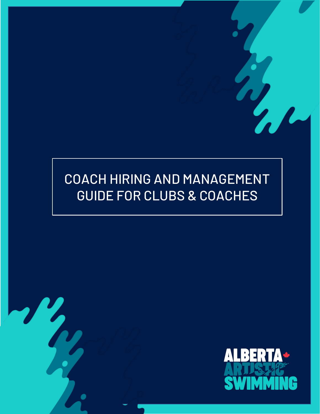# COACH HIRING AND MANAGEMENT GUIDE FOR CLUBS & COACHES

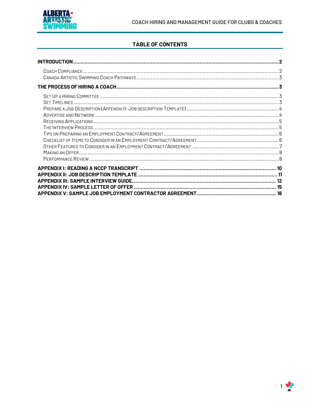

# **TABLE OF CONTENTS**

| <b>INTRODUCTION</b>                          |    |
|----------------------------------------------|----|
|                                              |    |
|                                              |    |
|                                              |    |
|                                              |    |
| <b>APPENDIX III: SAMPLE INTERVIEW GUIDE.</b> | 15 |

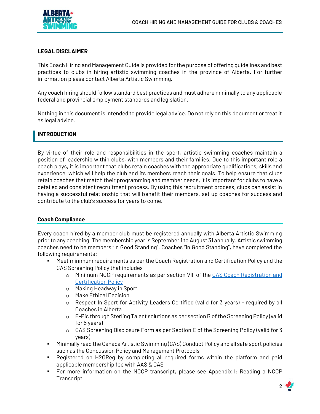# **LEGAL DISCLAIMER**

This Coach Hiring and Management Guide is provided for the purpose of offering guidelines and best practices to clubs in hiring artistic swimming coaches in the province of Alberta. For further information please contact Alberta Artistic Swimming.

Any coach hiring should follow standard best practices and must adhere minimally to any applicable federal and provincial employment standards and legislation.

Nothing in this document is intended to provide legal advice. Do not rely on this document or treat it as legal advice.

# <span id="page-2-0"></span>**INTRODUCTION**

By virtue of their role and responsibilities in the sport, artistic swimming coaches maintain a position of leadership within clubs, with members and their families. Due to this important role a coach plays, it is important that clubs retain coaches with the appropriate qualifications, skills and experience, which will help the club and its members reach their goals. To help ensure that clubs retain coaches that match their programming and member needs, it is important for clubs to have a detailed and consistent recruitment process. By using this recruitment process, clubs can assist in having a successful relationship that will benefit their members, set up coaches for success and contribute to the club's success for years to come.

#### <span id="page-2-1"></span>**Coach Compliance**

Every coach hired by a member club must be registered annually with Alberta Artistic Swimming prior to any coaching. The membership year is September 1 to August 31 annually. Artistic swimming coaches need to be members "In Good Standing". Coaches "In Good Standing", have completed the following requirements:

- Meet minimum requirements as per the Coach Registration and Certification Policy and the CAS Screening Policy that includes
	- o Minimum NCCP requirements as per section VIII of the [CAS Coach Registration and](https://artisticswimming.ca/wp-content/uploads/2019/03/CAS-Coach-Reg-Certif-Policy-4-Mar-2019-FINAL.pdf)  [Certification Policy](https://artisticswimming.ca/wp-content/uploads/2019/03/CAS-Coach-Reg-Certif-Policy-4-Mar-2019-FINAL.pdf)
	- o Making Headway in Sport
	- o Make Ethical Decision
	- $\circ$  Respect In Sport for Activity Leaders Certified (valid for 3 years) required by all Coaches in Alberta
	- o E-Pic through Sterling Talent solutions as per section B of the Screening Policy (valid for 5 years)
	- $\circ$  CAS Screening Disclosure Form as per Section E of the Screening Policy (valid for 3 years)
- Minimally read the Canada Artistic Swimming (CAS) Conduct Policy and all safe sport policies such as the Concussion Policy and Management Protocols
- Registered on H2OReg by completing all required forms within the platform and paid applicable membership fee with AAS & CAS
- For more information on the NCCP transcript, please see Appendix I: Reading a NCCP **Transcript**

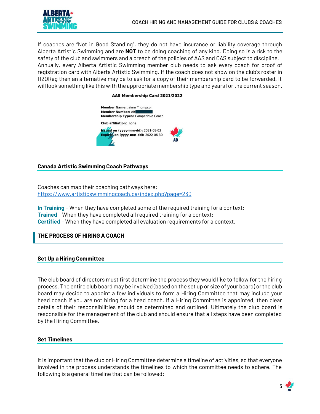

If coaches are "Not in Good Standing", they do not have insurance or liability coverage through Alberta Artistic Swimming and are **NOT** to be doing coaching of any kind. Doing so is a risk to the safety of the club and swimmers and a breach of the policies of AAS and CAS subject to discipline. Annually, every Alberta Artistic Swimming member club needs to ask every coach for proof of registration card with Alberta Artistic Swimming. If the coach does not show on the club's roster in H2OReg then an alternative may be to ask for a copy of their membership card to be forwarded. It will look something like this with the appropriate membership type and years for the current season.

#### AAS Membership Card 2021/2022



# <span id="page-3-0"></span>**Canada Artistic Swimming Coach Pathways**

Coaches can map their coaching pathways here: <https://www.artisticswimmingcoach.ca/index.php?page=230>

**In Training** – When they have completed some of the required training for a context; **Trained** – When they have completed all required training for a context; **Certified** – When they have completed all evaluation requirements for a context.

# <span id="page-3-2"></span><span id="page-3-1"></span>**THE PROCESS OF HIRING A COACH**

# **Set Up a Hiring Committee**

The club board of directors must first determine the process they would like to follow for the hiring process. The entire club board may be involved (based on the set up or size of your board) or the club board may decide to appoint a few individuals to form a Hiring Committee that may include your head coach if you are not hiring for a head coach. If a Hiring Committee is appointed, then clear details of their responsibilities should be determined and outlined. Ultimately the club board is responsible for the management of the club and should ensure that all steps have been completed by the Hiring Committee.

#### <span id="page-3-3"></span>**Set Timelines**

It is important that the club or Hiring Committee determine a timeline of activities, so that everyone involved in the process understands the timelines to which the committee needs to adhere. The following is a general timeline that can be followed:

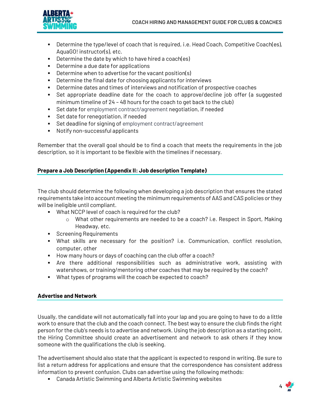

- **EXECO** Determine the type/level of coach that is required, i.e. Head Coach, Competitive Coach(es), AquaGO! instructor(s), etc.
- Determine the date by which to have hired a coach(es)
- Determine a due date for applications
- Determine when to advertise for the vacant position(s)
- Determine the final date for choosing applicants for interviews
- **EXECTER 1** Determine dates and times of interviews and notification of prospective coaches
- Set appropriate deadline date for the coach to approve/decline job offer (a suggested minimum timeline of 24 – 48 hours for the coach to get back to the club)
- Set date for employment contract/agreement negotiation, if needed
- Set date for renegotiation, if needed
- Set deadline for signing of employment contract/agreement
- Notify non-successful applicants

Remember that the overall goal should be to find a coach that meets the requirements in the job description, so it is important to be flexible with the timelines if necessary.

# <span id="page-4-0"></span>**Prepare a Job Description (Appendix II: Job description Template)**

The club should determine the following when developing a job description that ensures the stated requirements take into account meeting the minimum requirements of AAS and CAS policies or they will be ineligible until compliant.

- What NCCP level of coach is required for the club?
	- o What other requirements are needed to be a coach? i.e. Respect in Sport, Making Headway, etc.
- Screening Requirements
- What skills are necessary for the position? i.e. Communication, conflict resolution, computer, other
- How many hours or days of coaching can the club offer a coach?
- **•** Are there additional responsibilities such as administrative work, assisting with watershows, or training/mentoring other coaches that may be required by the coach?
- What types of programs will the coach be expected to coach?

# <span id="page-4-1"></span>**Advertise and Network**

Usually, the candidate will not automatically fall into your lap and you are going to have to do a little work to ensure that the club and the coach connect. The best way to ensure the club finds the right person for the club's needs is to advertise and network. Using the job description as a starting point, the Hiring Committee should create an advertisement and network to ask others if they know someone with the qualifications the club is seeking.

The advertisement should also state that the applicant is expected to respond in writing. Be sure to list a return address for applications and ensure that the correspondence has consistent address information to prevent confusion. Clubs can advertise using the following methods:

▪ Canada Artistic Swimming and Alberta Artistic Swimming websites

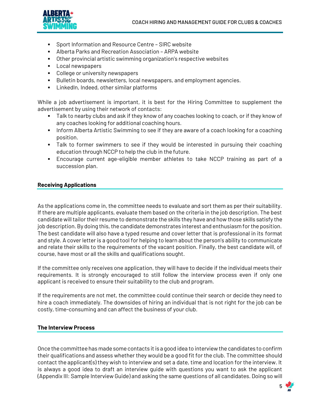

- Sport Information and Resource Centre SIRC website
- **EXEC** Alberta Parks and Recreation Association ARPA website
- Other provincial artistic swimming organization's respective websites
- Local newspapers
- College or university newspapers
- Bulletin boards, newsletters, local newspapers, and employment agencies.
- LinkedIn, Indeed, other similar platforms

While a job advertisement is important, it is best for the Hiring Committee to supplement the advertisement by using their network of contacts:

- **EXECT AS INCO TAGO IN A 200** Talk to near to near they know of any coaches looking to coach, or if they know of any coaches looking for additional coaching hours.
- **•** Inform Alberta Artistic Swimming to see if they are aware of a coach looking for a coaching position.
- **EXECT** Talk to former swimmers to see if they would be interested in pursuing their coaching education through NCCP to help the club in the future.
- Encourage current age-eligible member athletes to take NCCP training as part of a succession plan.

#### <span id="page-5-0"></span>**Receiving Applications**

As the applications come in, the committee needs to evaluate and sort them as per their suitability. If there are multiple applicants, evaluate them based on the criteria in the job description. The best candidate will tailor their resume to demonstrate the skills they have and how those skills satisfy the job description. By doing this, the candidate demonstrates interest and enthusiasm for the position. The best candidate will also have a typed resume and cover letter that is professional in its format and style. A cover letter is a good tool for helping to learn about the person's ability to communicate and relate their skills to the requirements of the vacant position. Finally, the best candidate will, of course, have most or all the skills and qualifications sought.

If the committee only receives one application, they will have to decide if the individual meets their requirements. It is strongly encouraged to still follow the interview process even if only one applicant is received to ensure their suitability to the club and program.

If the requirements are not met, the committee could continue their search or decide they need to hire a coach immediately. The downsides of hiring an individual that is not right for the job can be costly, time-consuming and can affect the business of your club.

# <span id="page-5-1"></span>**The Interview Process**

Once the committee has made some contacts it is a good idea to interview the candidates to confirm their qualifications and assess whether they would be a good fit for the club. The committee should contact the applicant(s) they wish to interview and set a date, time and location for the interview. It is always a good idea to draft an interview guide with questions you want to ask the applicant (Appendix III: Sample Interview Guide) and asking the same questions of all candidates. Doing so will

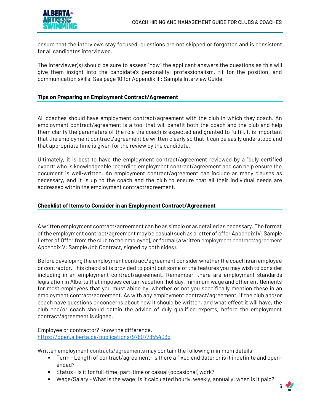

ensure that the interviews stay focused, questions are not skipped or forgotten and is consistent for all candidates interviewed.

The interviewer(s) should be sure to assess "how" the applicant answers the questions as this will give them insight into the candidate's personality, professionalism, fit for the position, and communication skills. See page 10 for Appendix III: Sample Interview Guide.

# <span id="page-6-0"></span>**Tips on Preparing an Employment Contract/Agreement**

All coaches should have employment contract/agreement with the club in which they coach. An employment contract/agreement is a tool that will benefit both the coach and the club and help them clarify the parameters of the role the coach is expected and granted to fulfill. It is important that the employment contract/agreement be written clearly so that it can be easily understood and that appropriate time is given for the review by the candidate.

Ultimately, it is best to have the employment contract/agreement reviewed by a "duly certified expert" who is knowledgeable regarding employment contract/agreement and can help ensure the document is well-written. An employment contract/agreement can include as many clauses as necessary, and it is up to the coach and the club to ensure that all their individual needs are addressed within the employment contract/agreement.

#### <span id="page-6-1"></span>**Checklist of Items to Consider in an Employment Contract/Agreement**

A written employment contract/agreement can be as simple or as detailed as necessary. The format of the employment contract/agreement may be casual (such as a letter of offer Appendix IV: Sample Letter of Offer from the club to the employee), or formal (a written employment contract/agreement Appendix V: Sample Job Contract, signed by both sides).

Before developing the employment contract/agreement consider whether the coach is an employee or contractor. This checklist is provided to point out some of the features you may wish to consider including in an employment contract/agreement. Remember, there are employment standards legislation in Alberta that imposes certain vacation, holiday, minimum wage and other entitlements for most employees that you must abide by, whether or not you specifically mention these in an employment contract/agreement. As with any employment contract/agreement, if the club and/or coach have questions or concerns about how it should be written, and what effect it will have, the club and/or coach should obtain the advice of duly qualified experts, before the employment contract/agreement is signed.

Employee or contractor? Know the difference. <https://open.alberta.ca/publications/9780778554035>

Written employment contracts/agreements may contain the following minimum details:

- Term Length of contract/agreement; is there a fixed end date; or is it indefinite and openended?
- Status Is it for full-time, part-time or casual (occasional) work?
- Wage/Salary What is the wage; is it calculated hourly, weekly, annually; when is it paid?

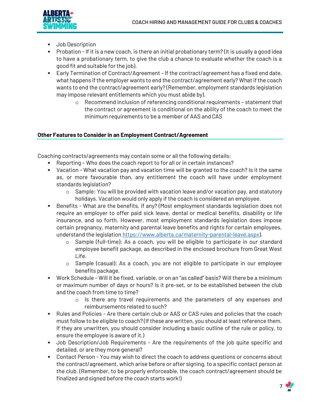

- Job Description
- Probation If it is a new coach, is there an initial probationary term? (It is usually a good idea to have a probationary term, to give the club a chance to evaluate whether the coach is a good fit and suitable for the job).
- **Early Termination of Contract/Agreement If the contract/agreement has a fixed end date,** what happens if the employer wants to end the contract/agreement early? What if the coach wants to end the contract/agreement early? (Remember, employment standards legislation may impose relevant entitlements which you must abide by).
	- $\circ$  Recommend inclusion of referencing conditional requirements statement that the contract or agreement is conditional on the ability of the coach to meet the minimum requirements to be a member of AAS and CAS

# <span id="page-7-0"></span>**Other Features to Consider in an Employment Contract/Agreement**

Coaching contracts/agreements may contain some or all the following details:

- Reporting Who does the coach report to for all or in certain instances?
- Vacation What vacation pay and vacation time will be granted to the coach? Is it the same as, or more favourable than, any entitlement the coach will have under employment standards legislation?
	- $\circ$  Sample: You will be provided with vacation leave and/or vacation pay, and statutory holidays. Vacation would only apply if the coach is considered an employee.
- Benefits What are the benefits, if any? (Most employment standards legislation does not require an employer to offer paid sick leave, dental or medical benefits, disability or life insurance, and so forth. However, most employment standards legislation does impose certain pregnancy, maternity and parental leave benefits and rights for certain employees, understand the legislatio[n https://www.alberta.ca/maternity-parental-leave.aspx\)](https://www.alberta.ca/maternity-parental-leave.aspx).
	- o Sample (full-time): As a coach, you will be eligible to participate in our standard employee benefit package, as described in the enclosed brochure from Great West Life.
	- o Sample (casual): As a coach, you are not eligible to participate in our employee benefits package.
- Work Schedule Will it be fixed, variable, or on an "as called" basis? Will there be a minimum or maximum number of days or hours? Is it pre-set, or to be established between the club and the coach from time to time?
	- $\circ$  Is there any travel requirements and the parameters of any expenses and reimbursements related to such?
- **EXEL** Rules and Policies Are there certain club or AAS or CAS rules and policies that the coach must follow to be eligible to coach? (If these are written, you should at least reference them. If they are unwritten, you should consider including a basic outline of the rule or policy, to ensure the employee is aware of it.)
- Job Description/Job Requirements Are the requirements of the job quite specific and detailed, or are they more general?
- Contact Person You may wish to direct the coach to address questions or concerns about the contract/agreement, which arise before or after signing, to a specific contact person at the club. (Remember, to be properly enforceable, the coach contract/agreement should be finalized and signed before the coach starts work!)

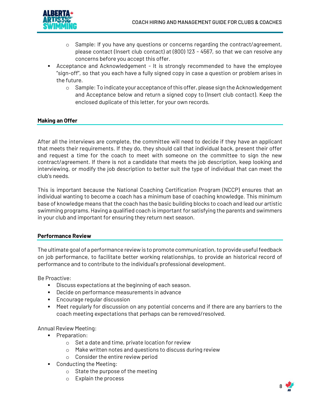

- $\circ$  Sample: If you have any questions or concerns regarding the contract/agreement, please contact (Insert club contact) at (800) 123 - 4567, so that we can resolve any concerns before you accept this offer.
- Acceptance and Acknowledgement It is strongly recommended to have the employee "sign-off", so that you each have a fully signed copy in case a question or problem arises in the future.
	- $\circ$  Sample: To indicate your acceptance of this offer, please sign the Acknowledgement and Acceptance below and return a signed copy to (Insert club contact). Keep the enclosed duplicate of this letter, for your own records.

# <span id="page-8-0"></span>**Making an Offer**

After all the interviews are complete, the committee will need to decide if they have an applicant that meets their requirements. If they do, they should call that individual back, present their offer and request a time for the coach to meet with someone on the committee to sign the new contract/agreement. If there is not a candidate that meets the job description, keep looking and interviewing, or modify the job description to better suit the type of individual that can meet the club's needs.

This is important because the National Coaching Certification Program (NCCP) ensures that an individual wanting to become a coach has a minimum base of coaching knowledge. This minimum base of knowledge means that the coach has the basic building blocks to coach and lead our artistic swimming programs. Having a qualified coach is important for satisfying the parents and swimmers in your club and important for ensuring they return next season.

#### <span id="page-8-1"></span>**Performance Review**

The ultimate goal of a performance review is to promote communication, to provide useful feedback on job performance, to facilitate better working relationships, to provide an historical record of performance and to contribute to the individual's professional development.

Be Proactive:

- Discuss expectations at the beginning of each season.
- Decide on performance measurements in advance
- Encourage regular discussion
- Meet regularly for discussion on any potential concerns and if there are any barriers to the coach meeting expectations that perhaps can be removed/resolved.

Annual Review Meeting:

- Preparation:
	- o Set a date and time, private location for review
	- o Make written notes and questions to discuss during review
	- o Consider the entire review period
- Conducting the Meeting:
	- o State the purpose of the meeting
	- o Explain the process

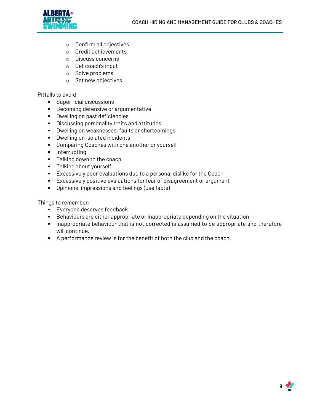

- o Confirm all objectives
- o Credit achievements
- o Discuss concerns
- o Get coach's input
- o Solve problems
- o Set new objectives

# Pitfalls to avoid:

- Superficial discussions
- Becoming defensive or argumentative
- Dwelling on past deficiencies
- Discussing personality traits and attitudes
- Dwelling on weaknesses, faults or shortcomings
- Dwelling on isolated incidents
- Comparing Coaches with one another or yourself
- **•** Interrupting
- Talking down to the coach
- Talking about yourself
- Excessively poor evaluations due to a personal dislike for the Coach
- Excessively positive evaluations for fear of disagreement or argument
- Opinions, impressions and feelings (use facts)

Things to remember:

- **Everyone deserves feedback**
- Behaviours are either appropriate or inappropriate depending on the situation
- **EXED** Inappropriate behaviour that is not corrected is assumed to be appropriate and therefore will continue.
- A performance review is for the benefit of both the club and the coach.

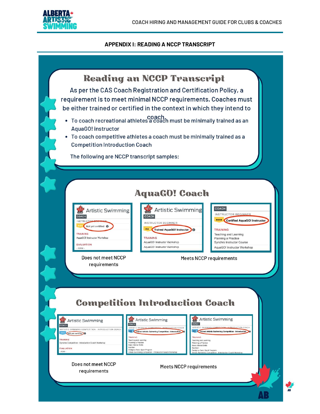

# **APPENDIX I: READING A NCCP TRANSCRIPT**

<span id="page-10-0"></span>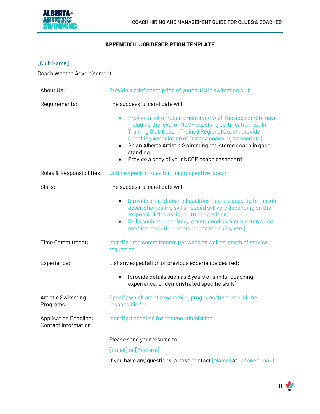

# **APPENDIX II: JOB DESCRIPTION TEMPLATE**

<span id="page-11-0"></span>

|  |  |  | ub Name |
|--|--|--|---------|
|--|--|--|---------|

Coach Wanted Advertisement

| About Us:                                                  | Provide a brief description of your artistic swimming club                                                                                                                                                                                                                                                                                                                                                  |  |  |
|------------------------------------------------------------|-------------------------------------------------------------------------------------------------------------------------------------------------------------------------------------------------------------------------------------------------------------------------------------------------------------------------------------------------------------------------------------------------------------|--|--|
| Requirements:                                              | The successful candidate will:                                                                                                                                                                                                                                                                                                                                                                              |  |  |
|                                                            | Provide a list of requirements you wish the applicant to have,<br>$\bullet$<br>including the level of NCCP coaching certification (ex. In<br>Training Club Coach, Trained Regional Coach, provide<br>Coaching Association of Canada coaching transcripts).<br>Be an Alberta Artistic Swimming registered coach in good<br>$\bullet$<br>standing<br>Provide a copy of your NCCP coach dashboard<br>$\bullet$ |  |  |
| Roles & Responsibilities:                                  | Outline specific roles for the prospective coach                                                                                                                                                                                                                                                                                                                                                            |  |  |
| Skills:                                                    | The successful candidate will:                                                                                                                                                                                                                                                                                                                                                                              |  |  |
|                                                            | (provide a list of desired qualities that are specific to the job<br>$\bullet$<br>description as the skills needed will vary depending on the<br>responsibilities assigned to the position)<br>Skills such as organized, leader, good communicator, good<br>$\bullet$<br>conflict resolution, computer or app skills, etc.)                                                                                 |  |  |
| Time Commitment:                                           | Identify time commitments per week as well as length of service<br>requested                                                                                                                                                                                                                                                                                                                                |  |  |
| Experience:                                                | List any expectation of previous experience desired:                                                                                                                                                                                                                                                                                                                                                        |  |  |
|                                                            | (provide details such as 3 years of similar coaching<br>$\bullet$<br>experience, or demonstrated specific skills)                                                                                                                                                                                                                                                                                           |  |  |
| Artistic Swimming<br>Programs:                             | Specify which artistic swimming programs the coach will be<br>responsible for                                                                                                                                                                                                                                                                                                                               |  |  |
| <b>Application Deadline:</b><br><b>Contact Information</b> | Identify a deadline for resume submission                                                                                                                                                                                                                                                                                                                                                                   |  |  |
|                                                            | Please send your resume to:                                                                                                                                                                                                                                                                                                                                                                                 |  |  |
|                                                            | [Email] or [Address]                                                                                                                                                                                                                                                                                                                                                                                        |  |  |
|                                                            | If you have any questions, please contact [Name] at [phone/email]                                                                                                                                                                                                                                                                                                                                           |  |  |

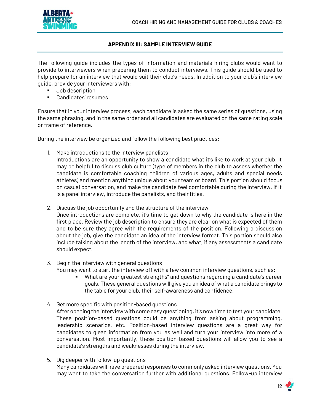

# **APPENDIX III: SAMPLE INTERVIEW GUIDE**

<span id="page-12-0"></span>The following guide includes the types of information and materials hiring clubs would want to provide to interviewers when preparing them to conduct interviews. This guide should be used to help prepare for an interview that would suit their club's needs. In addition to your club's interview guide, provide your interviewers with:

- Job description
- Candidates' resumes

Ensure that in your interview process, each candidate is asked the same series of questions, using the same phrasing, and in the same order and all candidates are evaluated on the same rating scale or frame of reference.

During the interview be organized and follow the following best practices:

1. Make introductions to the interview panelists

Introductions are an opportunity to show a candidate what it's like to work at your club. It may be helpful to discuss club culture (type of members in the club to assess whether the candidate is comfortable coaching children of various ages, adults and special needs athletes) and mention anything unique about your team or board. This portion should focus on casual conversation, and make the candidate feel comfortable during the interview. If it is a panel interview, introduce the panelists, and their titles.

- 2. Discuss the job opportunity and the structure of the interview Once introductions are complete, it's time to get down to why the candidate is here in the first place. Review the job description to ensure they are clear on what is expected of them and to be sure they agree with the requirements of the position. Following a discussion about the job, give the candidate an idea of the interview format. This portion should also include talking about the length of the interview, and what, if any assessments a candidate should expect.
- 3. Begin the interview with general questions You may want to start the interview off with a few common interview questions, such as:
	- What are your greatest strengths" and questions regarding a candidate's career goals. These general questions will give you an idea of what a candidate brings to the table for your club, their self-awareness and confidence.
- 4. Get more specific with position-based questions After opening the interview with some easy questioning, it's now time to test your candidate. These position-based questions could be anything from asking about programming, leadership scenarios, etc. Position-based interview questions are a great way for candidates to glean information from you as well and turn your interview into more of a conversation. Most importantly, these position-based questions will allow you to see a candidate's strengths and weaknesses during the interview.
- 5. Dig deeper with follow-up questions Many candidates will have prepared responses to commonly asked interview questions. You may want to take the conversation further with additional questions. Follow-up interview

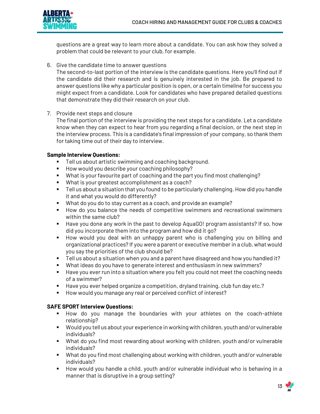

questions are a great way to learn more about a candidate. You can ask how they solved a problem that could be relevant to your club, for example.

6. Give the candidate time to answer questions

The second-to-last portion of the interview is the candidate questions. Here you'll find out if the candidate did their research and is genuinely interested in the job. Be prepared to answer questions like why a particular position is open, or a certain timeline for success you might expect from a candidate. Look for candidates who have prepared detailed questions that demonstrate they did their research on your club.

7. Provide next steps and closure

The final portion of the interview is providing the next steps for a candidate. Let a candidate know when they can expect to hear from you regarding a final decision, or the next step in the interview process. This is a candidate's final impression of your company, so thank them for taking time out of their day to interview.

# **Sample Interview Questions:**

- Tell us about artistic swimming and coaching background.
- How would you describe your coaching philosophy?
- What is your favourite part of coaching and the part you find most challenging?
- What is your greatest accomplishment as a coach?
- Tell us about a situation that you found to be particularly challenging. How did you handle it and what you would do differently?
- What do you do to stay current as a coach, and provide an example?
- How do you balance the needs of competitive swimmers and recreational swimmers within the same club?
- Have you done any work in the past to develop AquaGO! program assistants? If so, how did you incorporate them into the program and how did it go?
- How would you deal with an unhappy parent who is challenging you on billing and organizational practices? If you were a parent or executive member in a club, what would you say the priorities of the club should be?
- Tell us about a situation when you and a parent have disagreed and how you handled it?
- What ideas do you have to generate interest and enthusiasm in new swimmers?
- Have you ever run into a situation where you felt you could not meet the coaching needs of a swimmer?
- Have you ever helped organize a competition, dryland training, club fun day etc.?
- How would you manage any real or perceived conflict of interest?

# **SAFE SPORT Interview Questions:**

- How do you manage the boundaries with your athletes on the coach-athlete relationship?
- Would you tell us about your experience in working with children, youth and/or vulnerable individuals?
- What do you find most rewarding about working with children, youth and/or vulnerable individuals?
- What do you find most challenging about working with children, youth and/or vulnerable individuals?
- How would you handle a child, youth and/or vulnerable individual who is behaving in a manner that is disruptive in a group setting?

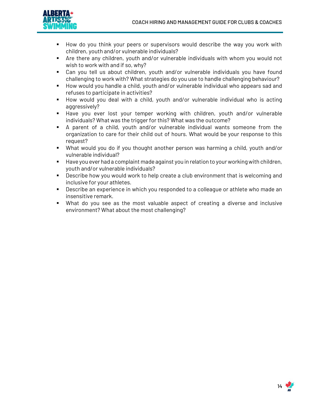

- How do you think your peers or supervisors would describe the way you work with children, youth and/or vulnerable individuals?
- **EXT** Are there any children, youth and/or vulnerable individuals with whom you would not wish to work with and if so, why?
- Can you tell us about children, youth and/or vulnerable individuals you have found challenging to work with? What strategies do you use to handle challenging behaviour?
- How would you handle a child, youth and/or vulnerable individual who appears sad and refuses to participate in activities?
- How would you deal with a child, youth and/or vulnerable individual who is acting aggressively?
- Have you ever lost your temper working with children, youth and/or vulnerable individuals? What was the trigger for this? What was the outcome?
- A parent of a child, youth and/or vulnerable individual wants someone from the organization to care for their child out of hours. What would be your response to this request?
- What would you do if you thought another person was harming a child, youth and/or vulnerable individual?
- Have you ever had a complaint made against you in relation to your working with children, youth and/or vulnerable individuals?
- Describe how you would work to help create a club environment that is welcoming and inclusive for your athletes.
- **•** Describe an experience in which you responded to a colleague or athlete who made an insensitive remark.
- What do you see as the most valuable aspect of creating a diverse and inclusive environment? What about the most challenging?

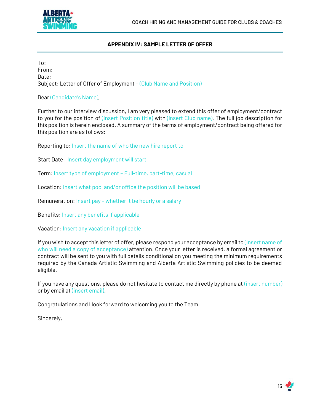

# **APPENDIX IV: SAMPLE LETTER OF OFFER**

<span id="page-15-0"></span>To: From: Date: Subject: Letter of Offer of Employment – (Club Name and Position)

# Dear (Candidate's Name),

Further to our interview discussion, I am very pleased to extend this offer of employment/contract to you for the position of (insert Position title) with (insert Club name). The full job description for this position is herein enclosed. A summary of the terms of employment/contract being offered for this position are as follows:

Reporting to: Insert the name of who the new hire report to

Start Date: Insert day employment will start

Term: Insert type of employment – Full-time, part-time, casual

Location: Insert what pool and/or office the position will be based

Remuneration: Insert pay – whether it be hourly or a salary

Benefits: Insert any benefits if applicable

Vacation: Insert any vacation if applicable

If you wish to accept this letter of offer, please respond your acceptance by email to (Insert name of who will need a copy of acceptance) attention. Once your letter is received, a formal agreement or contract will be sent to you with full details conditional on you meeting the minimum requirements required by the Canada Artistic Swimming and Alberta Artistic Swimming policies to be deemed eligible.

If you have any questions, please do not hesitate to contact me directly by phone at (insert number) or by email at (insert email).

Congratulations and I look forward to welcoming you to the Team.

Sincerely,

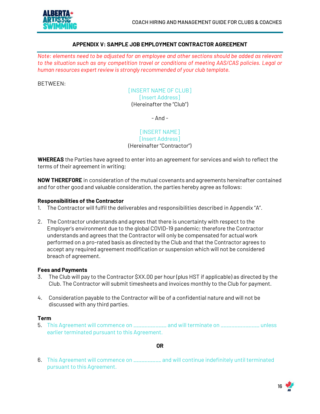

#### **APPENDIX V: SAMPLE JOB EMPLOYMENT CONTRACTOR AGREEMENT**

<span id="page-16-0"></span>*Note: elements need to be adjusted for an employee and other sections should be added as relevant to the situation such as any competition travel or conditions of meeting AAS/CAS policies. Legal or human resources expert review is strongly recommended of your club template.*

BETWEEN:

[INSERT NAME OF CLUB] [Insert Address] (Hereinafter the "Club")

- And -

[INSERT NAME] [Insert Address] (Hereinafter "Contractor")

**WHEREAS** the Parties have agreed to enter into an agreement for services and wish to reflect the terms of their agreement in writing;

**NOW THEREFORE** in consideration of the mutual covenants and agreements hereinafter contained and for other good and valuable consideration, the parties hereby agree as follows:

#### **Responsibilities of the Contractor**

- 1. The Contractor will fulfil the deliverables and responsibilities described in Appendix "A".
- 2. The Contractor understands and agrees that there is uncertainty with respect to the Employer's environment due to the global COVID-19 pandemic; therefore the Contractor understands and agrees that the Contractor will only be compensated for actual work performed on a pro-rated basis as directed by the Club and that the Contractor agrees to accept any required agreement modification or suspension which will not be considered breach of agreement.

#### **Fees and Payments**

- 3. The Club will pay to the Contractor \$XX.00 per hour (plus HST if applicable) as directed by the Club. The Contractor will submit timesheets and invoices monthly to the Club for payment.
- 4. Consideration payable to the Contractor will be of a confidential nature and will not be discussed with any third parties.

#### **Term**

5. This Agreement will commence on \_\_\_\_\_\_\_\_\_\_\_\_ and will terminate on \_\_\_\_\_\_\_\_\_\_\_\_\_\_ unless earlier terminated pursuant to this Agreement.

**OR**

6. This Agreement will commence on \_\_\_\_\_\_\_\_\_\_ and will continue indefinitely until terminated pursuant to this Agreement.

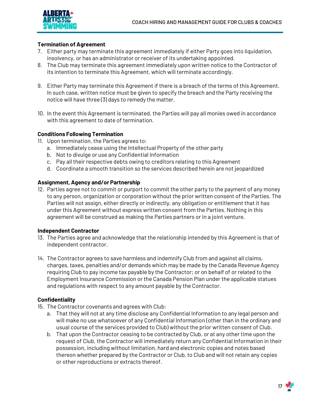

# **Termination of Agreement**

- 7. Either party may terminate this agreement immediately if either Party goes into liquidation, insolvency, or has an administrator or receiver of its undertaking appointed.
- 8. The Club may terminate this agreement immediately upon written notice to the Contractor of its intention to terminate this Agreement, which will terminate accordingly.
- 9. Either Party may terminate this Agreement if there is a breach of the terms of this Agreement. In such case, written notice must be given to specify the breach and the Party receiving the notice will have three (3) days to remedy the matter.
- 10. In the event this Agreement is terminated, the Parties will pay all monies owed in accordance with this agreement to date of termination.

# **Conditions Following Termination**

- 11. Upon termination, the Parties agrees to:
	- a. Immediately cease using the Intellectual Property of the other party
	- b. Not to divulge or use any Confidential Information
	- c. Pay all their respective debts owing to creditors relating to this Agreement
	- d. Coordinate a smooth transition so the services described herein are not jeopardized

# **Assignment, Agency and/or Partnership**

12. Parties agree not to commit or purport to commit the other party to the payment of any money to any person, organization or corporation without the prior written consent of the Parties. The Parties will not assign, either directly or indirectly, any obligation or entitlement that it has under this Agreement without express written consent from the Parties. Nothing in this agreement will be construed as making the Parties partners or in a joint venture.

#### **Independent Contractor**

- 13. The Parties agree and acknowledge that the relationship intended by this Agreement is that of independent contractor.
- 14. The Contractor agrees to save harmless and indemnify Club from and against all claims, charges, taxes, penalties and/or demands which may be made by the Canada Revenue Agency requiring Club to pay income tax payable by the Contractor; or on behalf of or related to the Employment Insurance Commission or the Canada Pension Plan under the applicable statues and regulations with respect to any amount payable by the Contractor.

# **Confidentiality**

- 15. The Contractor covenants and agrees with Club:
	- a. That they will not at any time disclose any Confidential Information to any legal person and will make no use whatsoever of any Confidential Information (other than in the ordinary and usual course of the services provided to Club) without the prior written consent of Club.
	- b. That upon the Contractor ceasing to be contracted by Club, or at any other time upon the request of Club, the Contractor will immediately return any Confidential Information in their possession, including without limitation, hard and electronic copies and notes based thereon whether prepared by the Contractor or Club, to Club and will not retain any copies or other reproductions or extracts thereof.

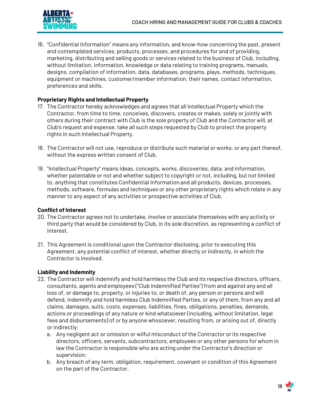

16. "Confidential Information" means any information, and know-how concerning the past, present and contemplated services, products, processes, and procedures for and of providing, marketing, distributing and selling goods or services related to the business of Club, including, without limitation, information, knowledge or data relating to training programs, manuals, designs, compilation of information, data, databases, programs, plays, methods, techniques, equipment or machines, customer/member information, their names, contact information, preferences and skills.

# **Proprietary Rights and Intellectual Property**

- 17. The Contractor hereby acknowledges and agrees that all Intellectual Property which the Contractor, from time to time, conceives, discovers, creates or makes, solely or jointly with others during their contract with Club is the sole property of Club and the Contractor will, at Club's request and expense, take all such steps requested by Club to protect the property rights in such Intellectual Property.
- 18. The Contractor will not use, reproduce or distribute such material or works, or any part thereof, without the express written consent of Club.
- 19. "Intellectual Property" means ideas, concepts, works, discoveries, data, and information, whether patentable or not and whether subject to copyright or not, including, but not limited to, anything that constitutes Confidential Information and all products, devices, processes, methods, software, formulas and techniques or any other proprietary rights which relate in any manner to any aspect of any activities or prospective activities of Club.

# **Conflict of Interest**

- 20. The Contractor agrees not to undertake, involve or associate themselves with any activity or third party that would be considered by Club, in its sole discretion, as representing a conflict of interest.
- 21. This Agreement is conditional upon the Contractor disclosing, prior to executing this Agreement, any potential conflict of interest, whether directly or indirectly, in which the Contractor is involved.

# **Liability and Indemnity**

- 22. The Contractor will indemnify and hold harmless the Club and its respective directors, officers, consultants, agents and employees ("Club Indemnified Parties") from and against any and all loss of, or damage to, property, or injuries to, or death of, any person or persons and will defend, indemnify and hold harmless Club Indemnified Parties, or any of them, from any and all claims, damages, suits, costs, expenses, liabilities, fines, obligations, penalties, demands, actions or proceedings of any nature or kind whatsoever (including, without limitation, legal fees and disbursements) of or by anyone whosoever, resulting from, or arising out of, directly or indirectly:
	- a. Any negligent act or omission or wilful misconduct of the Contractor or its respective directors, officers, servants, subcontractors, employees or any other persons for whom in law the Contractor is responsible who are acting under the Contractor's direction or supervision;
	- b. Any breach of any term, obligation, requirement, covenant or condition of this Agreement on the part of the Contractor.